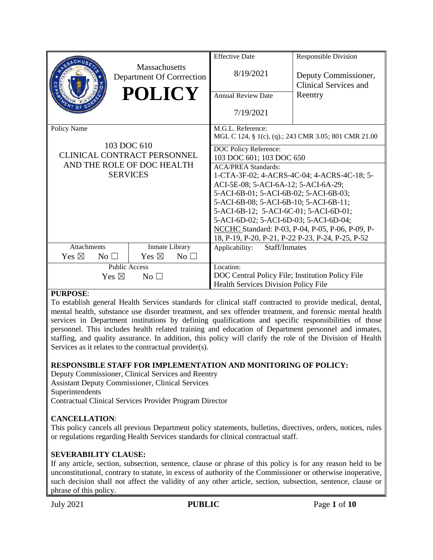|                                    |                                            | <b>Effective Date</b>                                | Responsible Division                    |
|------------------------------------|--------------------------------------------|------------------------------------------------------|-----------------------------------------|
|                                    | Massachusetts<br>Department Of Corrrection | 8/19/2021                                            | Deputy Commissioner,                    |
|                                    | <b>POLICY</b>                              | <b>Annual Review Date</b>                            | <b>Clinical Services and</b><br>Reentry |
|                                    |                                            | 7/19/2021                                            |                                         |
| Policy Name                        |                                            | M.G.L. Reference:                                    |                                         |
|                                    |                                            | MGL C 124, § 1(c), (q).; 243 CMR 3.05; 801 CMR 21.00 |                                         |
| 103 DOC 610                        |                                            | DOC Policy Reference:                                |                                         |
| <b>CLINICAL CONTRACT PERSONNEL</b> |                                            | 103 DOC 601; 103 DOC 650                             |                                         |
| AND THE ROLE OF DOC HEALTH         |                                            | <b>ACA/PREA Standards:</b>                           |                                         |
| <b>SERVICES</b>                    |                                            | 1-CTA-3F-02; 4-ACRS-4C-04; 4-ACRS-4C-18; 5-          |                                         |
|                                    |                                            | ACI-5E-08; 5-ACI-6A-12; 5-ACI-6A-29;                 |                                         |
|                                    |                                            | 5-ACI-6B-01; 5-ACI-6B-02; 5-ACI-6B-03;               |                                         |
|                                    |                                            | 5-ACI-6B-08; 5-ACI-6B-10; 5-ACI-6B-11;               |                                         |
|                                    |                                            | 5-ACI-6B-12; 5-ACI-6C-01; 5-ACI-6D-01;               |                                         |
|                                    |                                            | 5-ACI-6D-02; 5-ACI-6D-03; 5-ACI-6D-04;               |                                         |
|                                    |                                            | NCCHC Standard: P-03, P-04, P-05, P-06, P-09, P-     |                                         |
|                                    |                                            | 18, P-19, P-20, P-21, P-22 P-23, P-24, P-25, P-52    |                                         |
| <b>Attachments</b>                 | Inmate Library                             | Staff/Inmates<br>Applicability:                      |                                         |
| Yes $\boxtimes$<br>No <sub>1</sub> | Yes $\boxtimes$<br>$No$ $\square$          |                                                      |                                         |
| <b>Public Access</b>               |                                            | Location:                                            |                                         |
| Yes $\boxtimes$<br>No <sub>1</sub> |                                            | DOC Central Policy File; Institution Policy File     |                                         |
|                                    |                                            | <b>Health Services Division Policy File</b>          |                                         |

#### **PURPOSE**:

To establish general Health Services standards for clinical staff contracted to provide medical, dental, mental health, substance use disorder treatment, and sex offender treatment, and forensic mental health services in Department institutions by defining qualifications and specific responsibilities of those personnel. This includes health related training and education of Department personnel and inmates, staffing, and quality assurance. In addition, this policy will clarify the role of the Division of Health Services as it relates to the contractual provider(s).

#### **RESPONSIBLE STAFF FOR IMPLEMENTATION AND MONITORING OF POLICY:**

Deputy Commissioner, Clinical Services and Reentry Assistant Deputy Commissioner, Clinical Services Superintendents Contractual Clinical Services Provider Program Director

# **CANCELLATION**:

This policy cancels all previous Department policy statements, bulletins, directives, orders, notices, rules or regulations regarding Health Services standards for clinical contractual staff.

#### **SEVERABILITY CLAUSE:**

If any article, section, subsection, sentence, clause or phrase of this policy is for any reason held to be unconstitutional, contrary to statute, in excess of authority of the Commissioner or otherwise inoperative, such decision shall not affect the validity of any other article, section, subsection, sentence, clause or phrase of this policy.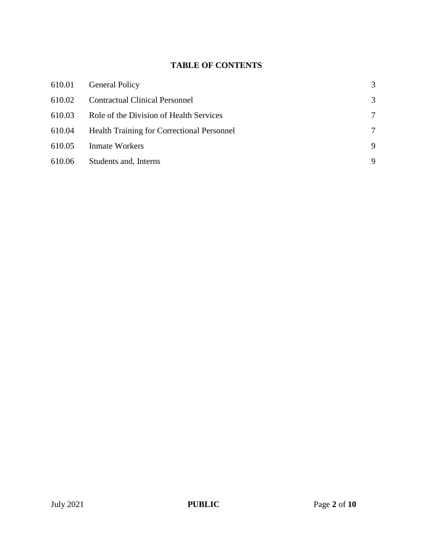# **TABLE OF CONTENTS**

| 610.01 | <b>General Policy</b>                             | 3 |
|--------|---------------------------------------------------|---|
| 610.02 | <b>Contractual Clinical Personnel</b>             | 3 |
| 610.03 | Role of the Division of Health Services           | 7 |
| 610.04 | <b>Health Training for Correctional Personnel</b> | 7 |
| 610.05 | <b>Inmate Workers</b>                             | 9 |
| 610.06 | Students and, Interns                             | 9 |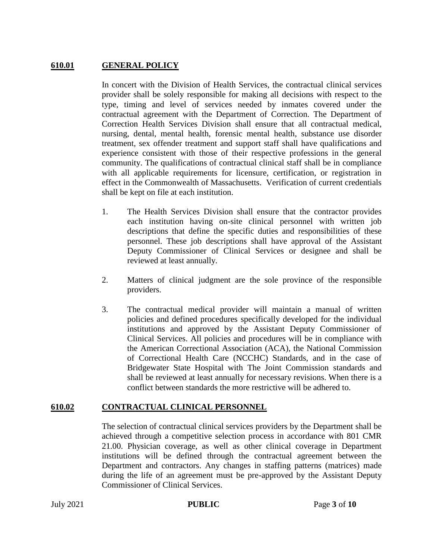### **610.01 GENERAL POLICY**

In concert with the Division of Health Services, the contractual clinical services provider shall be solely responsible for making all decisions with respect to the type, timing and level of services needed by inmates covered under the contractual agreement with the Department of Correction. The Department of Correction Health Services Division shall ensure that all contractual medical, nursing, dental, mental health, forensic mental health, substance use disorder treatment, sex offender treatment and support staff shall have qualifications and experience consistent with those of their respective professions in the general community. The qualifications of contractual clinical staff shall be in compliance with all applicable requirements for licensure, certification, or registration in effect in the Commonwealth of Massachusetts. Verification of current credentials shall be kept on file at each institution.

- 1. The Health Services Division shall ensure that the contractor provides each institution having on-site clinical personnel with written job descriptions that define the specific duties and responsibilities of these personnel. These job descriptions shall have approval of the Assistant Deputy Commissioner of Clinical Services or designee and shall be reviewed at least annually.
- 2. Matters of clinical judgment are the sole province of the responsible providers.
- 3. The contractual medical provider will maintain a manual of written policies and defined procedures specifically developed for the individual institutions and approved by the Assistant Deputy Commissioner of Clinical Services. All policies and procedures will be in compliance with the American Correctional Association (ACA), the National Commission of Correctional Health Care (NCCHC) Standards, and in the case of Bridgewater State Hospital with The Joint Commission standards and shall be reviewed at least annually for necessary revisions. When there is a conflict between standards the more restrictive will be adhered to.

# **610.02 CONTRACTUAL CLINICAL PERSONNEL**

The selection of contractual clinical services providers by the Department shall be achieved through a competitive selection process in accordance with 801 CMR 21.00. Physician coverage, as well as other clinical coverage in Department institutions will be defined through the contractual agreement between the Department and contractors. Any changes in staffing patterns (matrices) made during the life of an agreement must be pre-approved by the Assistant Deputy Commissioner of Clinical Services.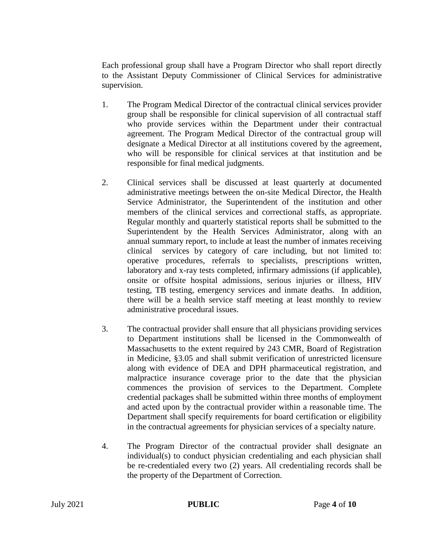Each professional group shall have a Program Director who shall report directly to the Assistant Deputy Commissioner of Clinical Services for administrative supervision.

- 1. The Program Medical Director of the contractual clinical services provider group shall be responsible for clinical supervision of all contractual staff who provide services within the Department under their contractual agreement. The Program Medical Director of the contractual group will designate a Medical Director at all institutions covered by the agreement, who will be responsible for clinical services at that institution and be responsible for final medical judgments.
- 2. Clinical services shall be discussed at least quarterly at documented administrative meetings between the on-site Medical Director, the Health Service Administrator, the Superintendent of the institution and other members of the clinical services and correctional staffs, as appropriate. Regular monthly and quarterly statistical reports shall be submitted to the Superintendent by the Health Services Administrator, along with an annual summary report, to include at least the number of inmates receiving clinical services by category of care including, but not limited to: operative procedures, referrals to specialists, prescriptions written, laboratory and x-ray tests completed, infirmary admissions (if applicable), onsite or offsite hospital admissions, serious injuries or illness, HIV testing, TB testing, emergency services and inmate deaths. In addition, there will be a health service staff meeting at least monthly to review administrative procedural issues.
- 3. The contractual provider shall ensure that all physicians providing services to Department institutions shall be licensed in the Commonwealth of Massachusetts to the extent required by 243 CMR, Board of Registration in Medicine, §3.05 and shall submit verification of unrestricted licensure along with evidence of DEA and DPH pharmaceutical registration, and malpractice insurance coverage prior to the date that the physician commences the provision of services to the Department. Complete credential packages shall be submitted within three months of employment and acted upon by the contractual provider within a reasonable time. The Department shall specify requirements for board certification or eligibility in the contractual agreements for physician services of a specialty nature.
- 4. The Program Director of the contractual provider shall designate an individual(s) to conduct physician credentialing and each physician shall be re-credentialed every two (2) years. All credentialing records shall be the property of the Department of Correction.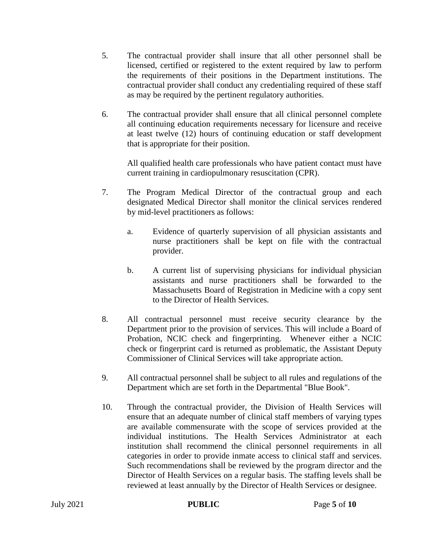- 5. The contractual provider shall insure that all other personnel shall be licensed, certified or registered to the extent required by law to perform the requirements of their positions in the Department institutions. The contractual provider shall conduct any credentialing required of these staff as may be required by the pertinent regulatory authorities.
- 6. The contractual provider shall ensure that all clinical personnel complete all continuing education requirements necessary for licensure and receive at least twelve (12) hours of continuing education or staff development that is appropriate for their position.

All qualified health care professionals who have patient contact must have current training in cardiopulmonary resuscitation (CPR).

- 7. The Program Medical Director of the contractual group and each designated Medical Director shall monitor the clinical services rendered by mid-level practitioners as follows:
	- a. Evidence of quarterly supervision of all physician assistants and nurse practitioners shall be kept on file with the contractual provider.
	- b. A current list of supervising physicians for individual physician assistants and nurse practitioners shall be forwarded to the Massachusetts Board of Registration in Medicine with a copy sent to the Director of Health Services.
- 8. All contractual personnel must receive security clearance by the Department prior to the provision of services. This will include a Board of Probation, NCIC check and fingerprinting. Whenever either a NCIC check or fingerprint card is returned as problematic, the Assistant Deputy Commissioner of Clinical Services will take appropriate action.
- 9. All contractual personnel shall be subject to all rules and regulations of the Department which are set forth in the Departmental "Blue Book".
- 10. Through the contractual provider, the Division of Health Services will ensure that an adequate number of clinical staff members of varying types are available commensurate with the scope of services provided at the individual institutions. The Health Services Administrator at each institution shall recommend the clinical personnel requirements in all categories in order to provide inmate access to clinical staff and services. Such recommendations shall be reviewed by the program director and the Director of Health Services on a regular basis. The staffing levels shall be reviewed at least annually by the Director of Health Services or designee.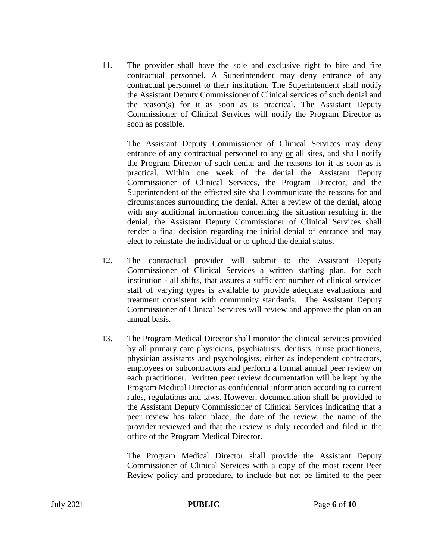11. The provider shall have the sole and exclusive right to hire and fire contractual personnel. A Superintendent may deny entrance of any contractual personnel to their institution. The Superintendent shall notify the Assistant Deputy Commissioner of Clinical services of such denial and the reason(s) for it as soon as is practical. The Assistant Deputy Commissioner of Clinical Services will notify the Program Director as soon as possible.

The Assistant Deputy Commissioner of Clinical Services may deny entrance of any contractual personnel to any or all sites, and shall notify the Program Director of such denial and the reasons for it as soon as is practical. Within one week of the denial the Assistant Deputy Commissioner of Clinical Services, the Program Director, and the Superintendent of the effected site shall communicate the reasons for and circumstances surrounding the denial. After a review of the denial, along with any additional information concerning the situation resulting in the denial, the Assistant Deputy Commissioner of Clinical Services shall render a final decision regarding the initial denial of entrance and may elect to reinstate the individual or to uphold the denial status.

- 12. The contractual provider will submit to the Assistant Deputy Commissioner of Clinical Services a written staffing plan, for each institution - all shifts, that assures a sufficient number of clinical services staff of varying types is available to provide adequate evaluations and treatment consistent with community standards. The Assistant Deputy Commissioner of Clinical Services will review and approve the plan on an annual basis.
- 13. The Program Medical Director shall monitor the clinical services provided by all primary care physicians, psychiatrists, dentists, nurse practitioners, physician assistants and psychologists, either as independent contractors, employees or subcontractors and perform a formal annual peer review on each practitioner. Written peer review documentation will be kept by the Program Medical Director as confidential information according to current rules, regulations and laws. However, documentation shall be provided to the Assistant Deputy Commissioner of Clinical Services indicating that a peer review has taken place, the date of the review, the name of the provider reviewed and that the review is duly recorded and filed in the office of the Program Medical Director.

The Program Medical Director shall provide the Assistant Deputy Commissioner of Clinical Services with a copy of the most recent Peer Review policy and procedure, to include but not be limited to the peer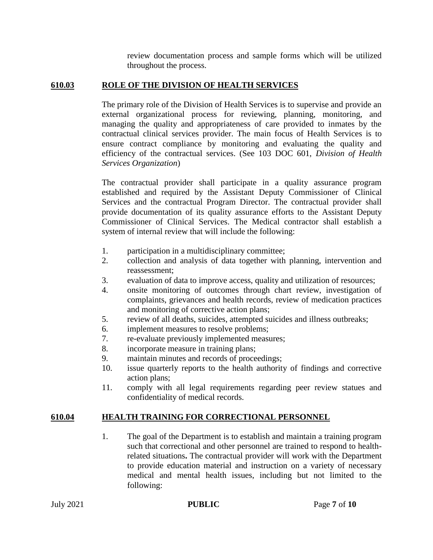review documentation process and sample forms which will be utilized throughout the process.

# **610.03 ROLE OF THE DIVISION OF HEALTH SERVICES**

The primary role of the Division of Health Services is to supervise and provide an external organizational process for reviewing, planning, monitoring, and managing the quality and appropriateness of care provided to inmates by the contractual clinical services provider. The main focus of Health Services is to ensure contract compliance by monitoring and evaluating the quality and efficiency of the contractual services. (See 103 DOC 601, *Division of Health Services Organization*)

The contractual provider shall participate in a quality assurance program established and required by the Assistant Deputy Commissioner of Clinical Services and the contractual Program Director. The contractual provider shall provide documentation of its quality assurance efforts to the Assistant Deputy Commissioner of Clinical Services. The Medical contractor shall establish a system of internal review that will include the following:

- 1. participation in a multidisciplinary committee;
- 2. collection and analysis of data together with planning, intervention and reassessment;
- 3. evaluation of data to improve access, quality and utilization of resources;
- 4. onsite monitoring of outcomes through chart review, investigation of complaints, grievances and health records, review of medication practices and monitoring of corrective action plans;
- 5. review of all deaths, suicides, attempted suicides and illness outbreaks;
- 6. implement measures to resolve problems;
- 7. re-evaluate previously implemented measures;
- 8. incorporate measure in training plans;
- 9. maintain minutes and records of proceedings;
- 10. issue quarterly reports to the health authority of findings and corrective action plans;
- 11. comply with all legal requirements regarding peer review statues and confidentiality of medical records.

# **610.04 HEALTH TRAINING FOR CORRECTIONAL PERSONNEL**

1. The goal of the Department is to establish and maintain a training program such that correctional and other personnel are trained to respond to healthrelated situations**.** The contractual provider will work with the Department to provide education material and instruction on a variety of necessary medical and mental health issues, including but not limited to the following: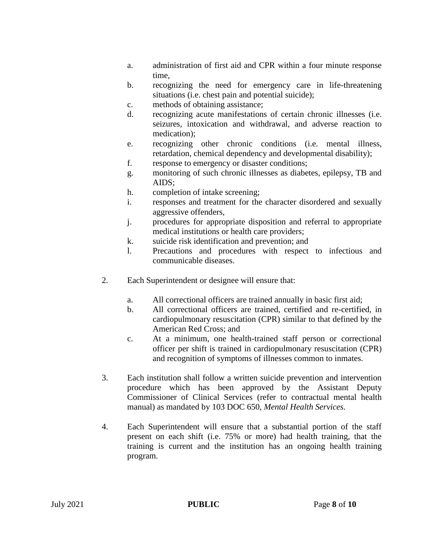- a. administration of first aid and CPR within a four minute response time,
- b. recognizing the need for emergency care in life-threatening situations (i.e. chest pain and potential suicide);
- c. methods of obtaining assistance;
- d. recognizing acute manifestations of certain chronic illnesses (i.e. seizures, intoxication and withdrawal, and adverse reaction to medication);
- e. recognizing other chronic conditions (i.e. mental illness, retardation, chemical dependency and developmental disability);
- f. response to emergency or disaster conditions;
- g. monitoring of such chronic illnesses as diabetes, epilepsy, TB and AIDS;
- h. completion of intake screening;
- i. responses and treatment for the character disordered and sexually aggressive offenders,
- j. procedures for appropriate disposition and referral to appropriate medical institutions or health care providers;
- k. suicide risk identification and prevention; and
- l. Precautions and procedures with respect to infectious and communicable diseases.
- 2. Each Superintendent or designee will ensure that:
	- a. All correctional officers are trained annually in basic first aid;
	- b. All correctional officers are trained, certified and re-certified, in cardiopulmonary resuscitation (CPR) similar to that defined by the American Red Cross; and
	- c. At a minimum, one health-trained staff person or correctional officer per shift is trained in cardiopulmonary resuscitation (CPR) and recognition of symptoms of illnesses common to inmates.
- 3. Each institution shall follow a written suicide prevention and intervention procedure which has been approved by the Assistant Deputy Commissioner of Clinical Services (refer to contractual mental health manual) as mandated by 103 DOC 650, *Mental Health Services.*
- 4. Each Superintendent will ensure that a substantial portion of the staff present on each shift (i.e. 75% or more) had health training, that the training is current and the institution has an ongoing health training program.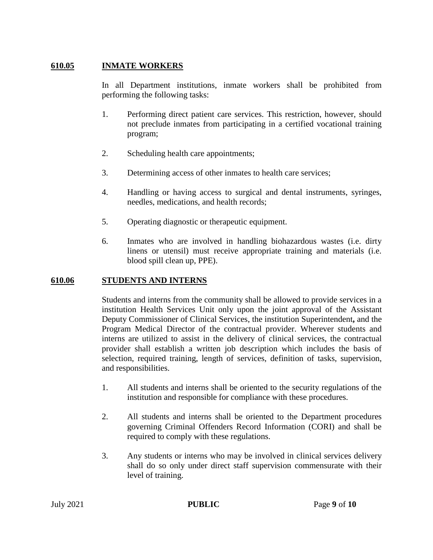### **610.05 INMATE WORKERS**

In all Department institutions, inmate workers shall be prohibited from performing the following tasks:

- 1. Performing direct patient care services. This restriction, however, should not preclude inmates from participating in a certified vocational training program;
- 2. Scheduling health care appointments;
- 3. Determining access of other inmates to health care services;
- 4. Handling or having access to surgical and dental instruments, syringes, needles, medications, and health records;
- 5. Operating diagnostic or therapeutic equipment.
- 6. Inmates who are involved in handling biohazardous wastes (i.e. dirty linens or utensil) must receive appropriate training and materials (i.e. blood spill clean up, PPE).

### **610.06 STUDENTS AND INTERNS**

Students and interns from the community shall be allowed to provide services in a institution Health Services Unit only upon the joint approval of the Assistant Deputy Commissioner of Clinical Services, the institution Superintendent**,** and the Program Medical Director of the contractual provider. Wherever students and interns are utilized to assist in the delivery of clinical services, the contractual provider shall establish a written job description which includes the basis of selection, required training, length of services, definition of tasks, supervision, and responsibilities.

- 1. All students and interns shall be oriented to the security regulations of the institution and responsible for compliance with these procedures.
- 2. All students and interns shall be oriented to the Department procedures governing Criminal Offenders Record Information (CORI) and shall be required to comply with these regulations.
- 3. Any students or interns who may be involved in clinical services delivery shall do so only under direct staff supervision commensurate with their level of training.